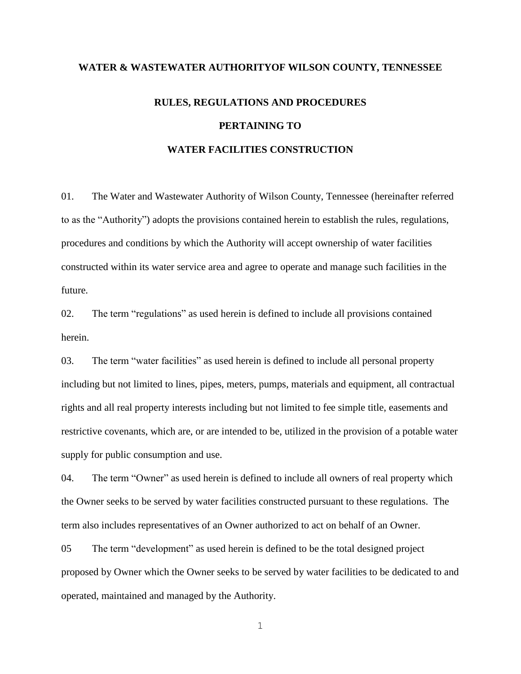## **WATER & WASTEWATER AUTHORITYOF WILSON COUNTY, TENNESSEE**

## **RULES, REGULATIONS AND PROCEDURES PERTAINING TO WATER FACILITIES CONSTRUCTION**

01. The Water and Wastewater Authority of Wilson County, Tennessee (hereinafter referred to as the "Authority") adopts the provisions contained herein to establish the rules, regulations, procedures and conditions by which the Authority will accept ownership of water facilities constructed within its water service area and agree to operate and manage such facilities in the future.

02. The term "regulations" as used herein is defined to include all provisions contained herein.

03. The term "water facilities" as used herein is defined to include all personal property including but not limited to lines, pipes, meters, pumps, materials and equipment, all contractual rights and all real property interests including but not limited to fee simple title, easements and restrictive covenants, which are, or are intended to be, utilized in the provision of a potable water supply for public consumption and use.

04. The term "Owner" as used herein is defined to include all owners of real property which the Owner seeks to be served by water facilities constructed pursuant to these regulations. The term also includes representatives of an Owner authorized to act on behalf of an Owner.

05 The term "development" as used herein is defined to be the total designed project proposed by Owner which the Owner seeks to be served by water facilities to be dedicated to and operated, maintained and managed by the Authority.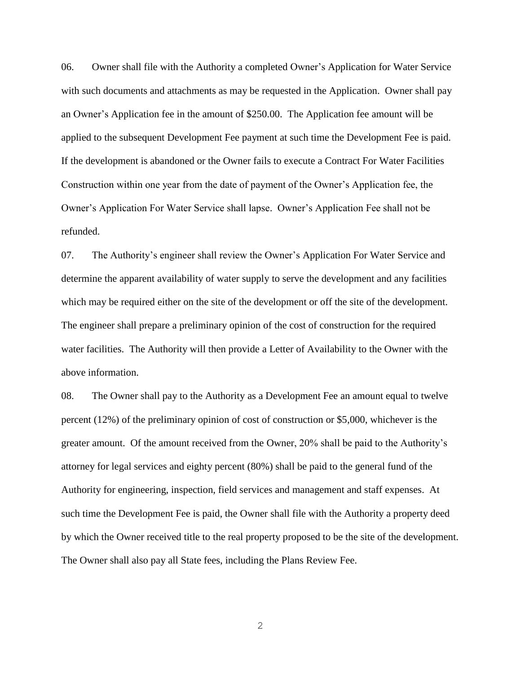06. Owner shall file with the Authority a completed Owner's Application for Water Service with such documents and attachments as may be requested in the Application. Owner shall pay an Owner's Application fee in the amount of \$250.00. The Application fee amount will be applied to the subsequent Development Fee payment at such time the Development Fee is paid. If the development is abandoned or the Owner fails to execute a Contract For Water Facilities Construction within one year from the date of payment of the Owner's Application fee, the Owner's Application For Water Service shall lapse. Owner's Application Fee shall not be refunded.

07. The Authority's engineer shall review the Owner's Application For Water Service and determine the apparent availability of water supply to serve the development and any facilities which may be required either on the site of the development or off the site of the development. The engineer shall prepare a preliminary opinion of the cost of construction for the required water facilities. The Authority will then provide a Letter of Availability to the Owner with the above information.

08. The Owner shall pay to the Authority as a Development Fee an amount equal to twelve percent (12%) of the preliminary opinion of cost of construction or \$5,000, whichever is the greater amount. Of the amount received from the Owner, 20% shall be paid to the Authority's attorney for legal services and eighty percent (80%) shall be paid to the general fund of the Authority for engineering, inspection, field services and management and staff expenses. At such time the Development Fee is paid, the Owner shall file with the Authority a property deed by which the Owner received title to the real property proposed to be the site of the development. The Owner shall also pay all State fees, including the Plans Review Fee.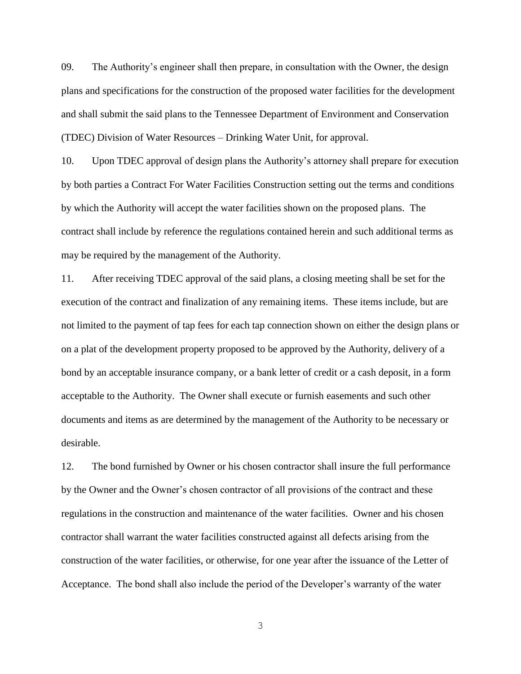09. The Authority's engineer shall then prepare, in consultation with the Owner, the design plans and specifications for the construction of the proposed water facilities for the development and shall submit the said plans to the Tennessee Department of Environment and Conservation (TDEC) Division of Water Resources – Drinking Water Unit, for approval.

10. Upon TDEC approval of design plans the Authority's attorney shall prepare for execution by both parties a Contract For Water Facilities Construction setting out the terms and conditions by which the Authority will accept the water facilities shown on the proposed plans. The contract shall include by reference the regulations contained herein and such additional terms as may be required by the management of the Authority.

11. After receiving TDEC approval of the said plans, a closing meeting shall be set for the execution of the contract and finalization of any remaining items. These items include, but are not limited to the payment of tap fees for each tap connection shown on either the design plans or on a plat of the development property proposed to be approved by the Authority, delivery of a bond by an acceptable insurance company, or a bank letter of credit or a cash deposit, in a form acceptable to the Authority. The Owner shall execute or furnish easements and such other documents and items as are determined by the management of the Authority to be necessary or desirable.

12. The bond furnished by Owner or his chosen contractor shall insure the full performance by the Owner and the Owner's chosen contractor of all provisions of the contract and these regulations in the construction and maintenance of the water facilities. Owner and his chosen contractor shall warrant the water facilities constructed against all defects arising from the construction of the water facilities, or otherwise, for one year after the issuance of the Letter of Acceptance. The bond shall also include the period of the Developer's warranty of the water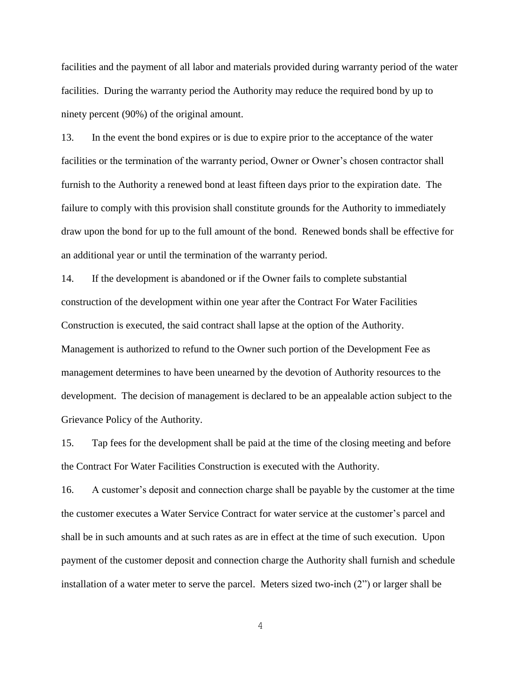facilities and the payment of all labor and materials provided during warranty period of the water facilities. During the warranty period the Authority may reduce the required bond by up to ninety percent (90%) of the original amount.

13. In the event the bond expires or is due to expire prior to the acceptance of the water facilities or the termination of the warranty period, Owner or Owner's chosen contractor shall furnish to the Authority a renewed bond at least fifteen days prior to the expiration date. The failure to comply with this provision shall constitute grounds for the Authority to immediately draw upon the bond for up to the full amount of the bond. Renewed bonds shall be effective for an additional year or until the termination of the warranty period.

14. If the development is abandoned or if the Owner fails to complete substantial construction of the development within one year after the Contract For Water Facilities Construction is executed, the said contract shall lapse at the option of the Authority. Management is authorized to refund to the Owner such portion of the Development Fee as management determines to have been unearned by the devotion of Authority resources to the development. The decision of management is declared to be an appealable action subject to the Grievance Policy of the Authority.

15. Tap fees for the development shall be paid at the time of the closing meeting and before the Contract For Water Facilities Construction is executed with the Authority.

16. A customer's deposit and connection charge shall be payable by the customer at the time the customer executes a Water Service Contract for water service at the customer's parcel and shall be in such amounts and at such rates as are in effect at the time of such execution. Upon payment of the customer deposit and connection charge the Authority shall furnish and schedule installation of a water meter to serve the parcel. Meters sized two-inch (2") or larger shall be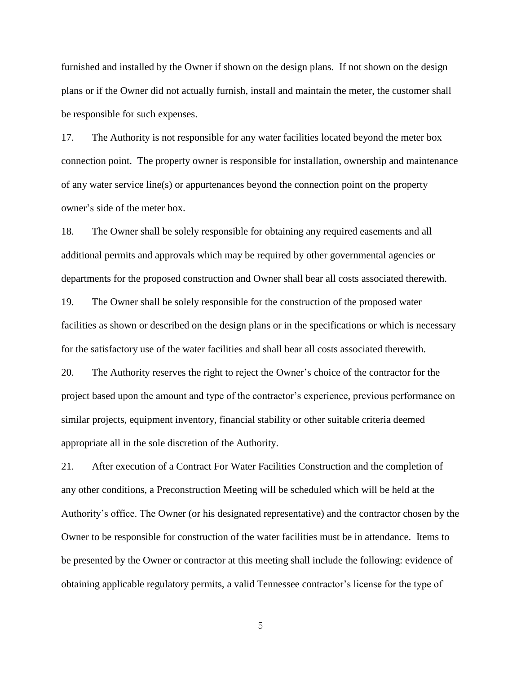furnished and installed by the Owner if shown on the design plans. If not shown on the design plans or if the Owner did not actually furnish, install and maintain the meter, the customer shall be responsible for such expenses.

17. The Authority is not responsible for any water facilities located beyond the meter box connection point. The property owner is responsible for installation, ownership and maintenance of any water service line(s) or appurtenances beyond the connection point on the property owner's side of the meter box.

18. The Owner shall be solely responsible for obtaining any required easements and all additional permits and approvals which may be required by other governmental agencies or departments for the proposed construction and Owner shall bear all costs associated therewith.

19. The Owner shall be solely responsible for the construction of the proposed water facilities as shown or described on the design plans or in the specifications or which is necessary for the satisfactory use of the water facilities and shall bear all costs associated therewith.

20. The Authority reserves the right to reject the Owner's choice of the contractor for the project based upon the amount and type of the contractor's experience, previous performance on similar projects, equipment inventory, financial stability or other suitable criteria deemed appropriate all in the sole discretion of the Authority.

21. After execution of a Contract For Water Facilities Construction and the completion of any other conditions, a Preconstruction Meeting will be scheduled which will be held at the Authority's office. The Owner (or his designated representative) and the contractor chosen by the Owner to be responsible for construction of the water facilities must be in attendance. Items to be presented by the Owner or contractor at this meeting shall include the following: evidence of obtaining applicable regulatory permits, a valid Tennessee contractor's license for the type of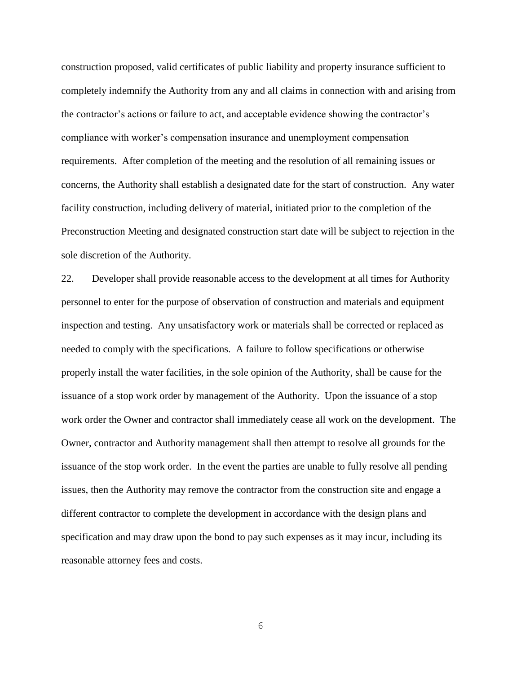construction proposed, valid certificates of public liability and property insurance sufficient to completely indemnify the Authority from any and all claims in connection with and arising from the contractor's actions or failure to act, and acceptable evidence showing the contractor's compliance with worker's compensation insurance and unemployment compensation requirements. After completion of the meeting and the resolution of all remaining issues or concerns, the Authority shall establish a designated date for the start of construction. Any water facility construction, including delivery of material, initiated prior to the completion of the Preconstruction Meeting and designated construction start date will be subject to rejection in the sole discretion of the Authority.

22. Developer shall provide reasonable access to the development at all times for Authority personnel to enter for the purpose of observation of construction and materials and equipment inspection and testing. Any unsatisfactory work or materials shall be corrected or replaced as needed to comply with the specifications. A failure to follow specifications or otherwise properly install the water facilities, in the sole opinion of the Authority, shall be cause for the issuance of a stop work order by management of the Authority. Upon the issuance of a stop work order the Owner and contractor shall immediately cease all work on the development. The Owner, contractor and Authority management shall then attempt to resolve all grounds for the issuance of the stop work order. In the event the parties are unable to fully resolve all pending issues, then the Authority may remove the contractor from the construction site and engage a different contractor to complete the development in accordance with the design plans and specification and may draw upon the bond to pay such expenses as it may incur, including its reasonable attorney fees and costs.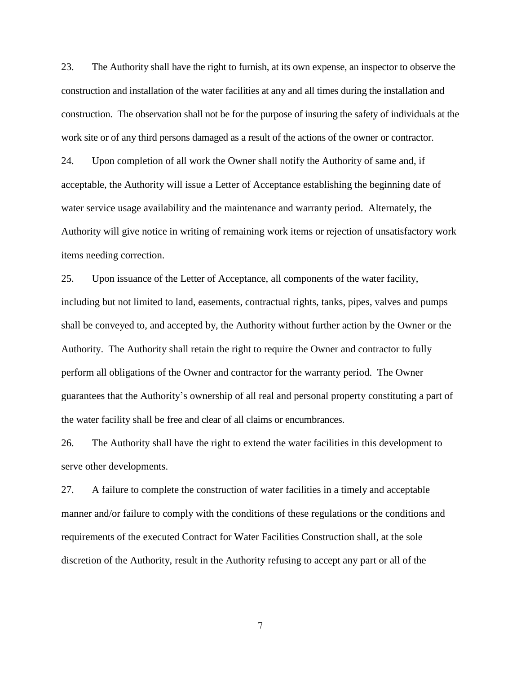23. The Authority shall have the right to furnish, at its own expense, an inspector to observe the construction and installation of the water facilities at any and all times during the installation and construction. The observation shall not be for the purpose of insuring the safety of individuals at the work site or of any third persons damaged as a result of the actions of the owner or contractor. 24. Upon completion of all work the Owner shall notify the Authority of same and, if acceptable, the Authority will issue a Letter of Acceptance establishing the beginning date of water service usage availability and the maintenance and warranty period. Alternately, the Authority will give notice in writing of remaining work items or rejection of unsatisfactory work items needing correction.

25. Upon issuance of the Letter of Acceptance, all components of the water facility, including but not limited to land, easements, contractual rights, tanks, pipes, valves and pumps shall be conveyed to, and accepted by, the Authority without further action by the Owner or the Authority. The Authority shall retain the right to require the Owner and contractor to fully perform all obligations of the Owner and contractor for the warranty period. The Owner guarantees that the Authority's ownership of all real and personal property constituting a part of the water facility shall be free and clear of all claims or encumbrances.

26. The Authority shall have the right to extend the water facilities in this development to serve other developments.

27. A failure to complete the construction of water facilities in a timely and acceptable manner and/or failure to comply with the conditions of these regulations or the conditions and requirements of the executed Contract for Water Facilities Construction shall, at the sole discretion of the Authority, result in the Authority refusing to accept any part or all of the